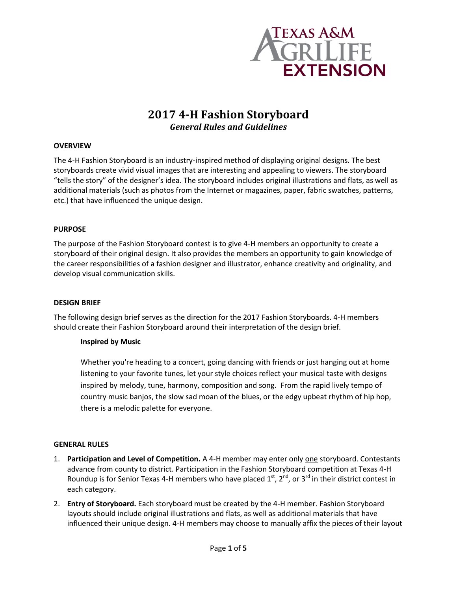

# **2017 4-H Fashion Storyboard** *General Rules and Guidelines*

# **OVERVIEW**

The 4-H Fashion Storyboard is an industry-inspired method of displaying original designs. The best storyboards create vivid visual images that are interesting and appealing to viewers. The storyboard "tells the story" of the designer's idea. The storyboard includes original illustrations and flats, as well as additional materials (such as photos from the Internet or magazines, paper, fabric swatches, patterns, etc.) that have influenced the unique design.

### **PURPOSE**

The purpose of the Fashion Storyboard contest is to give 4-H members an opportunity to create a storyboard of their original design. It also provides the members an opportunity to gain knowledge of the career responsibilities of a fashion designer and illustrator, enhance creativity and originality, and develop visual communication skills.

# **DESIGN BRIEF**

The following design brief serves as the direction for the 2017 Fashion Storyboards. 4-H members should create their Fashion Storyboard around their interpretation of the design brief.

# **Inspired by Music**

Whether you're heading to a concert, going dancing with friends or just hanging out at home listening to your favorite tunes, let your style choices reflect your musical taste with designs inspired by melody, tune, harmony, composition and song. From the rapid lively tempo of country music banjos, the slow sad moan of the blues, or the edgy upbeat rhythm of hip hop, there is a melodic palette for everyone.

#### **GENERAL RULES**

- 1. **Participation and Level of Competition.** A 4-H member may enter only one storyboard. Contestants advance from county to district. Participation in the Fashion Storyboard competition at Texas 4-H Roundup is for Senior Texas 4-H members who have placed  $1^{st}$ ,  $2^{nd}$ , or  $3^{rd}$  in their district contest in each category.
- 2. **Entry of Storyboard.** Each storyboard must be created by the 4-H member. Fashion Storyboard layouts should include original illustrations and flats, as well as additional materials that have influenced their unique design. 4-H members may choose to manually affix the pieces of their layout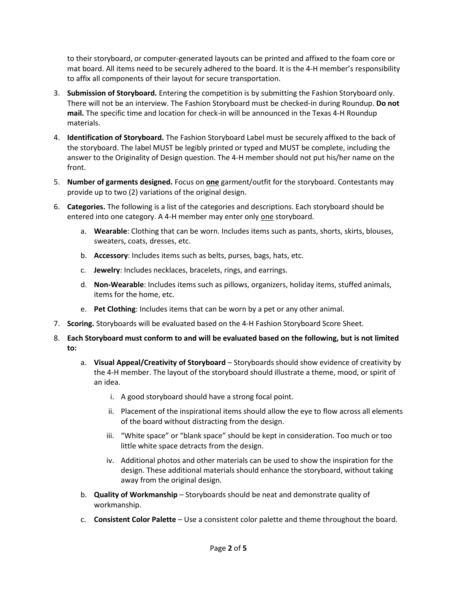to their storyboard, or computer-generated layouts can be printed and affixed to the foam core or mat board. All items need to be securely adhered to the board. It is the 4-H member's responsibility to affix all components of their layout for secure transportation.

- 3. **Submission of Storyboard.** Entering the competition is by submitting the Fashion Storyboard only. There will not be an interview. The Fashion Storyboard must be checked-in during Roundup. **Do not mail.** The specific time and location for check-in will be announced in the Texas 4-H Roundup materials.
- 4. **Identification of Storyboard.** The Fashion Storyboard Label must be securely affixed to the back of the storyboard. The label MUST be legibly printed or typed and MUST be complete, including the answer to the Originality of Design question. The 4-H member should not put his/her name on the front.
- 5. **Number of garments designed.** Focus on **one** garment/outfit for the storyboard. Contestants may provide up to two (2) variations of the original design.
- 6. **Categories.** The following is a list of the categories and descriptions. Each storyboard should be entered into one category. A 4-H member may enter only one storyboard.
	- a. **Wearable**: Clothing that can be worn. Includes items such as pants, shorts, skirts, blouses, sweaters, coats, dresses, etc.
	- b. **Accessory**: Includes items such as belts, purses, bags, hats, etc.
	- c. **Jewelry**: Includes necklaces, bracelets, rings, and earrings.
	- d. **Non-Wearable**: Includes items such as pillows, organizers, holiday items, stuffed animals, items for the home, etc.
	- e. **Pet Clothing**: Includes items that can be worn by a pet or any other animal.
- 7. **Scoring.** Storyboards will be evaluated based on the 4-H Fashion Storyboard Score Sheet.
- 8. **Each Storyboard must conform to and will be evaluated based on the following, but is not limited to:**
	- a. **Visual Appeal/Creativity of Storyboard** Storyboards should show evidence of creativity by the 4-H member. The layout of the storyboard should illustrate a theme, mood, or spirit of an idea.
		- i. A good storyboard should have a strong focal point.
		- ii. Placement of the inspirational items should allow the eye to flow across all elements of the board without distracting from the design.
		- iii. "White space" or "blank space" should be kept in consideration. Too much or too little white space detracts from the design.
		- iv. Additional photos and other materials can be used to show the inspiration for the design. These additional materials should enhance the storyboard, without taking away from the original design.
	- b. **Quality of Workmanship** Storyboards should be neat and demonstrate quality of workmanship.
	- c. **Consistent Color Palette** Use a consistent color palette and theme throughout the board.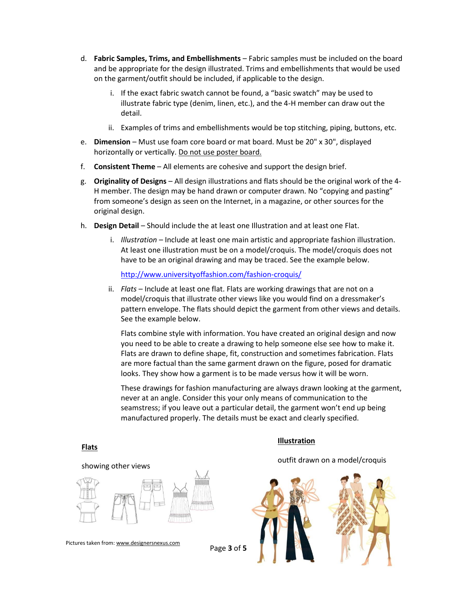- d. **Fabric Samples, Trims, and Embellishments** Fabric samples must be included on the board and be appropriate for the design illustrated. Trims and embellishments that would be used on the garment/outfit should be included, if applicable to the design.
	- i. If the exact fabric swatch cannot be found, a "basic swatch" may be used to illustrate fabric type (denim, linen, etc.), and the 4-H member can draw out the detail.
	- ii. Examples of trims and embellishments would be top stitching, piping, buttons, etc.
- e. **Dimension** Must use foam core board or mat board. Must be 20" x 30", displayed horizontally or vertically. Do not use poster board.
- f. **Consistent Theme** All elements are cohesive and support the design brief.
- g. **Originality of Designs** All design illustrations and flats should be the original work of the 4- H member. The design may be hand drawn or computer drawn. No "copying and pasting" from someone's design as seen on the Internet, in a magazine, or other sources for the original design.
- h. **Design Detail** Should include the at least one Illustration and at least one Flat.
	- i. *Illustration* Include at least one main artistic and appropriate fashion illustration. At least one illustration must be on a model/croquis. The model/croquis does not have to be an original drawing and may be traced. See the example below.

<http://www.universityoffashion.com/fashion-croquis/>

ii. *Flats* – Include at least one flat. Flats are working drawings that are not on a model/croquis that illustrate other views like you would find on a dressmaker's pattern envelope. The flats should depict the garment from other views and details. See the example below.

Flats combine style with information. You have created an original design and now you need to be able to create a drawing to help someone else see how to make it. Flats are drawn to define shape, fit, construction and sometimes fabrication. Flats are more factual than the same garment drawn on the figure, posed for dramatic looks. They show how a garment is to be made versus how it will be worn.

These drawings for fashion manufacturing are always drawn looking at the garment, never at an angle. Consider this your only means of communication to the seamstress; if you leave out a particular detail, the garment won't end up being manufactured properly. The details must be exact and clearly specified.

#### **Flats**

## **Illustration**

outfit drawn on a model/croquis



Pictures taken from: www.designersnexus.com

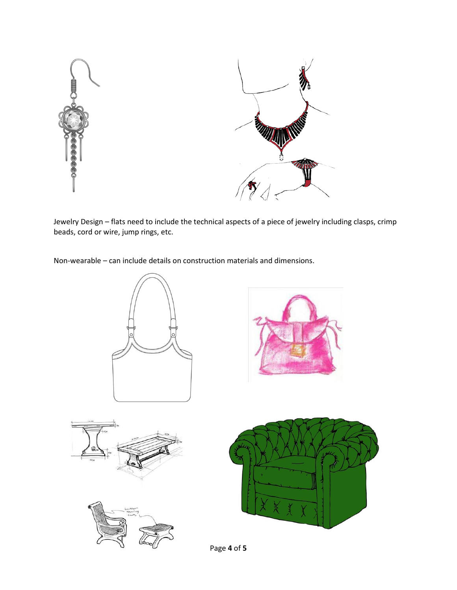



Jewelry Design – flats need to include the technical aspects of a piece of jewelry including clasps, crimp beads, cord or wire, jump rings, etc.

Non-wearable – can include details on construction materials and dimensions.